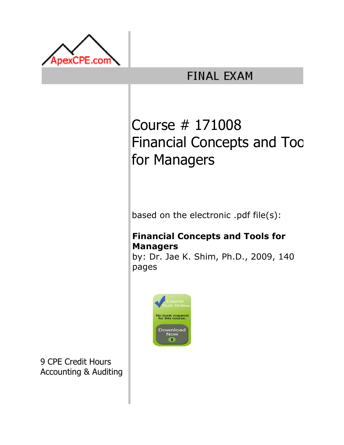

## **FINAL EXAM**

# Course # 171008 Financial Concepts and Toc for Managers

based on the electronic .pdf file(s):

### Financial Concepts and Tools for Managers

by: Dr. Jae K. Shim, Ph.D., 2009, 140 pages



9 CPE Credit Hours Accounting & Auditing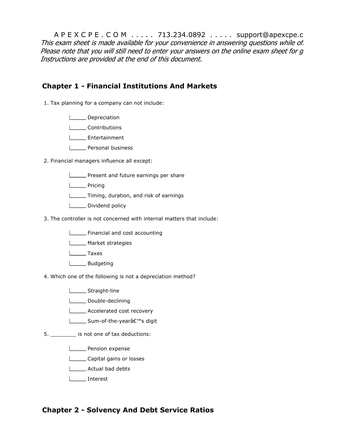A P E X C P E . C O M . . . . . 713.234.0892 . . . . . support@apexcpe.c This exam sheet is made available for your convenience in answering questions while of. Please note that you will still need to enter your answers on the online exam sheet for  $q$ Instructions are provided at the end of this document.

#### Chapter 1 - Financial Institutions And Markets

- 1. Tax planning for a company can not include:
	- **L** Depreciation
	- L**L**Contributions
	- **L** Entertainment
	- **Lacksonal business**
- 2. Financial managers influence all except:
	- **LETTE:** Present and future earnings per share
	- **Looper** Pricing
	- **Timing, duration, and risk of earnings**
	- Dividend policy
- 3. The controller is not concerned with internal matters that include:
	- **Financial and cost accounting**
	- **Market strategies**
	- **Lower** Taxes
	- **Lackson** Budgeting
- 4. Which one of the following is not a depreciation method?
	- Straight-line
	- **Double-declining**
	- **LECONACCE** Accelerated cost recovery
	- **L** Sum-of-the-year's digit
- 5. \_\_\_\_\_\_\_\_ is not one of tax deductions:
	- **Lackson** expense
	- **Lacker Capital gains or losses**
	- **Actual bad debts**
	- Interest

#### Chapter 2 - Solvency And Debt Service Ratios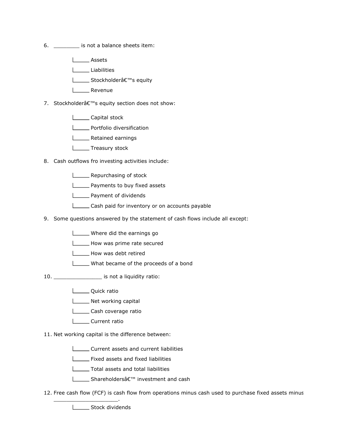- 6. \_\_\_\_\_\_\_\_ is not a balance sheets item:
	- Assets

Liabilities

- **L** Stockholder's equity
- L**ECO** Revenue
- 7. Stockholder's equity section does not show:
	- L**L** Capital stock
	- **LETTE** Portfolio diversification
	- **LETTE** Retained earnings
	- L**ET** Treasury stock
- 8. Cash outflows fro investing activities include:
	- **LETT** Repurchasing of stock
	- **Lackson** Payments to buy fixed assets
	- **Lackson** Payment of dividends
	- **LETT** Cash paid for inventory or on accounts payable
- 9. Some questions answered by the statement of cash flows include all except:
	- **LECT** Where did the earnings go
	- How was prime rate secured
	- How was debt retired
	- What became of the proceeds of a bond
- 10. \_\_\_\_\_\_\_\_\_\_\_\_\_\_\_ is not a liquidity ratio:
	- **L\_\_\_\_** Quick ratio
	- Net working capital
	- Cash coverage ratio
	- **L** Current ratio
- 11. Net working capital is the difference between:
	- **LECUTE:** Current assets and current liabilities
	- **Fixed assets and fixed liabilities**
	- **Total assets and total liabilities**
	- **L** Shareholdersâ€<sup>™</sup> investment and cash
- 12. Free cash flow (FCF) is cash flow from operations minus cash used to purchase fixed assets minus

**LETTE** Stock dividends

\_\_\_\_\_\_\_\_\_\_\_\_\_\_\_\_\_\_\_\_.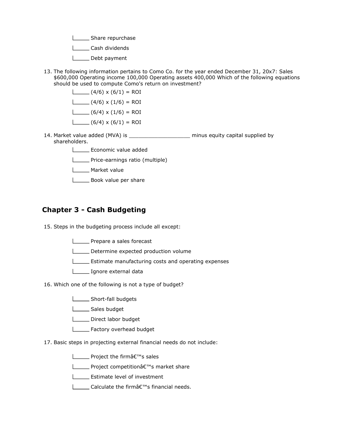Share repurchase

**L\_\_\_\_\_\_ Cash dividends** 

Debt payment

13. The following information pertains to Como Co. for the year ended December 31, 20x7: Sales \$600,000 Operating income 100,000 Operating assets 400,000 Which of the following equations should be used to compute Como's return on investment?

> $(4/6) \times (6/1) = ROI$  $\Box$  (4/6) x (1/6) = ROI  $\Box$  (6/4) x (1/6) = ROI  $\Box$  (6/4) x (6/1) = ROI

- 14. Market value added (MVA) is \_\_\_\_\_\_\_\_\_\_\_\_\_\_\_\_\_\_\_ minus equity capital supplied by shareholders.
	- Economic value added
	- **L\_\_\_\_** Price-earnings ratio (multiple)
	- L\_\_\_\_\_ Market value
	- **Book value per share**

#### Chapter 3 - Cash Budgeting

- 15. Steps in the budgeting process include all except:
	- **LETT** Prepare a sales forecast
	- Determine expected production volume
	- **EXTERGHIFF** Estimate manufacturing costs and operating expenses

**Ignore external data** 

- 16. Which one of the following is not a type of budget?
	- Short-fall budgets
	- **Loopel** Sales budget
	- Direct labor budget
	- **L**\_\_\_\_\_\_\_ Factory overhead budget
- 17. Basic steps in projecting external financial needs do not include:
	- **ENGLIEE** Project the firm<sub>a</sub> €<sup>™</sup>s sales
	- **L** Project competition's market share
	- **L\_\_\_\_\_** Estimate level of investment
	- $\Box$  Calculate the firm $\hat{a} \in \mathbb{R}^m$ s financial needs.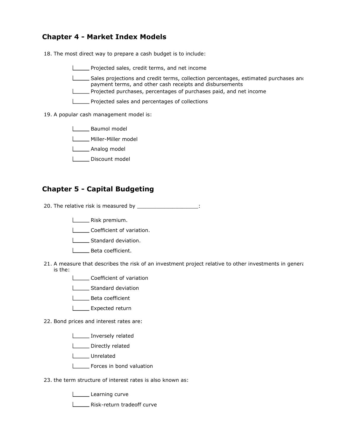#### Chapter 4 - Market Index Models

18. The most direct way to prepare a cash budget is to include:

Projected sales, credit terms, and net income

Sales projections and credit terms, collection percentages, estimated purchases and payment terms, and other cash receipts and disbursements Projected purchases, percentages of purchases paid, and net income

- 
- **LETT** Projected sales and percentages of collections
- 19. A popular cash management model is:

**Loopey** Baumol model

- **LECCC** Miller-Miller model
- **Looper** Analog model
- Discount model

#### Chapter 5 - Capital Budgeting

20. The relative risk is measured by \_\_\_\_\_\_\_\_\_\_\_\_\_\_\_\_\_\_\_\_\_\_:

- **LECT** Risk premium.
- Coefficient of variation.
- Standard deviation.
- **LECTE** Beta coefficient.
- 21. A measure that describes the risk of an investment project relative to other investments in general is the:
	- **Letter** Coefficient of variation
	- Standard deviation
	- **LECTE** Beta coefficient
	- **L** Expected return
- 22. Bond prices and interest rates are:
	- Inversely related
	- Directly related
	- L**L**Unrelated
	- Forces in bond valuation
- 23. the term structure of interest rates is also known as:
	- Learning curve
	- **LETTE:** Risk-return tradeoff curve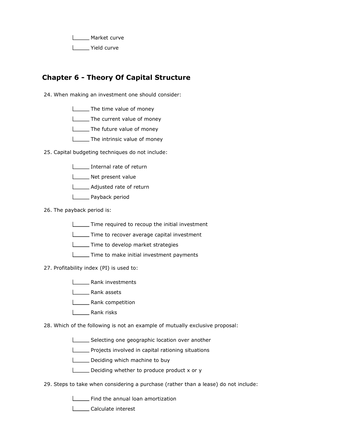**Market curve** Yield curve

#### Chapter 6 - Theory Of Capital Structure

24. When making an investment one should consider:

- The time value of money
- **LETTIME** Current value of money
- **L\_\_\_\_** The future value of money
- **LETTIME:** The intrinsic value of money
- 25. Capital budgeting techniques do not include:
	- Internal rate of return
	- Net present value
	- **L**\_\_\_\_\_\_\_ Adjusted rate of return
	- **Lack Denia Payback period**
- 26. The payback period is:
	- **Time required to recoup the initial investment**
	- Time to recover average capital investment
	- **Time to develop market strategies**
	- **Time to make initial investment payments**
- 27. Profitability index (PI) is used to:
	- **Lank investments**
	- **LETT** Rank assets
	- L\_\_\_\_\_\_ Rank competition
	- L<sub>\_\_\_</sub>\_\_\_\_\_ Rank risks
- 28. Which of the following is not an example of mutually exclusive proposal:
	- Selecting one geographic location over another
	- Projects involved in capital rationing situations
	- Deciding which machine to buy
	- Deciding whether to produce product x or y
- 29. Steps to take when considering a purchase (rather than a lease) do not include:
	- Find the annual loan amortization
	- **Lacker Linds** Calculate interest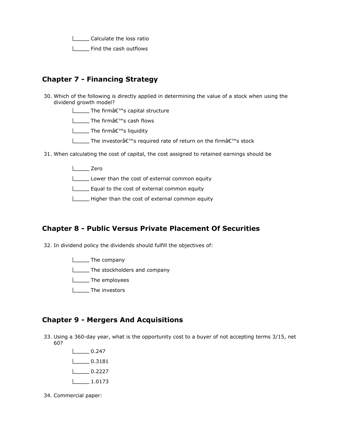**LETT** Calculate the loss ratio **LETT** Find the cash outflows

#### Chapter 7 - Financing Strategy

- 30. Which of the following is directly applied in determining the value of a stock when using the dividend growth model?
	- **L** The firmâ€<sup>™</sup>s capital structure
	- **L** The firmå€<sup>™</sup>s cash flows
	- $\Box$  The firm $\hat{a} \in \mathbb{N}$ s liquidity
	- **∐** The investorâ€<sup>™</sup>s required rate of return on the firmâ€<sup>™</sup>s stock
- 31. When calculating the cost of capital, the cost assigned to retained earnings should be
	- L<sub>zero</sub> Zero

Lower than the cost of external common equity

Equal to the cost of external common equity

Higher than the cost of external common equity

#### Chapter 8 - Public Versus Private Placement Of Securities

32. In dividend policy the dividends should fulfill the objectives of:

**The company The stockholders and company The employees** L<sub>\_\_\_\_</sub>The investors

#### Chapter 9 - Mergers And Acquisitions

- 33. Using a 360-day year, what is the opportunity cost to a buyer of not accepting terms 3/15, net 60?
	- $1$  0.247  $\Box$  0.3181  $\sqrt{0.2227}$  $\frac{1}{1.0173}$
- 34. Commercial paper: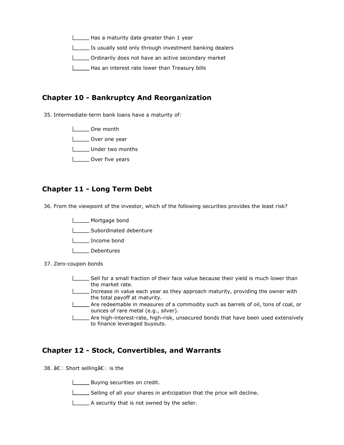Has a maturity date greater than 1 year Is usually sold only through investment banking dealers Ordinarily does not have an active secondary market Has an interest rate lower than Treasury bills

#### Chapter 10 - Bankruptcy And Reorganization

35. Intermediate-term bank loans have a maturity of:

One month

**Letter** Over one year

**LETTE** Under two months

L\_\_\_\_\_ Over five years

#### Chapter 11 - Long Term Debt

36. From the viewpoint of the investor, which of the following securities provides the least risk?

**Mortgage bond** 

Subordinated debenture

- L<sub>DD</sub> Income bond
- | Debentures
- 37. Zero-coupon bonds
	- Sell for a small fraction of their face value because their yield is much lower than the market rate.
	- Increase in value each year as they approach maturity, providing the owner with the total payoff at maturity.
	- Are redeemable in measures of a commodity such as barrels of oil, tons of coal, or ounces of rare metal (e.g., silver).
	- **\_\_\_\_** Are high-interest-rate, high-risk, unsecured bonds that have been used extensively to finance leveraged buyouts.

#### Chapter 12 - Stock, Convertibles, and Warrants

38. â€ Short sellingâ€ is the

**LETT** Buying securities on credit.

Selling of all your shares in anticipation that the price will decline.

A security that is not owned by the seller.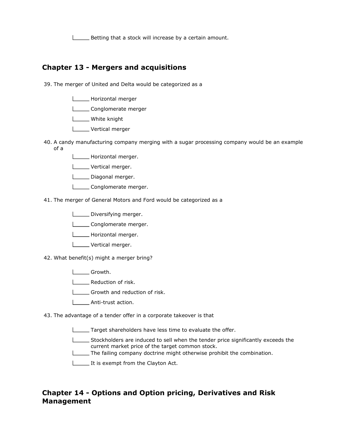Betting that a stock will increase by a certain amount.

#### Chapter 13 - Mergers and acquisitions

- 39. The merger of United and Delta would be categorized as a
	- **Horizontal merger**
	- **Louise** Conglomerate merger
	- L\_\_\_\_\_ White knight
	- L**L** Vertical merger
- 40. A candy manufacturing company merging with a sugar processing company would be an example of a
	- **Lackson** Horizontal merger.
	- **Lettical merger.**
	- Diagonal merger.
	- L\_\_\_\_\_\_ Conglomerate merger.
- 41. The merger of General Motors and Ford would be categorized as a
	- Diversifying merger.
	- Conglomerate merger.
	- **Louise** Horizontal merger.
	- **L\_\_\_\_\_** Vertical merger.
- 42. What benefit(s) might a merger bring?
	- **Listing** Growth.
	- **LETTE** Reduction of risk.
	- Growth and reduction of risk.
	- L\_\_\_\_\_\_ Anti-trust action.
- 43. The advantage of a tender offer in a corporate takeover is that
	- Target shareholders have less time to evaluate the offer.
	- Stockholders are induced to sell when the tender price significantly exceeds the current market price of the target common stock.
	- The failing company doctrine might otherwise prohibit the combination.
	- It is exempt from the Clayton Act.

#### Chapter 14 - Options and Option pricing, Derivatives and Risk Management